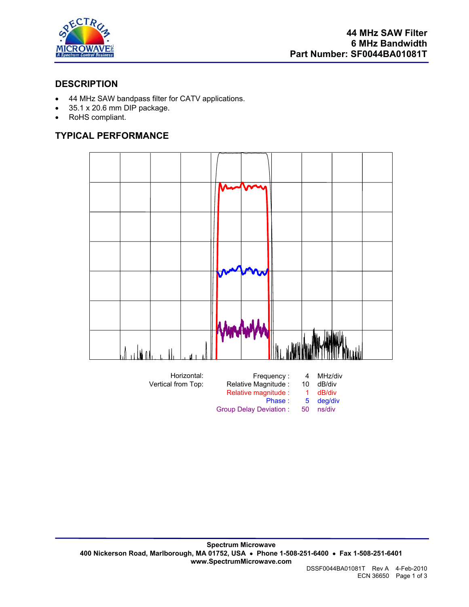

## **DESCRIPTION**

- 44 MHz SAW bandpass filter for CATV applications.
- 35.1 x 20.6 mm DIP package.
- RoHS compliant.

# **TYPICAL PERFORMANCE**

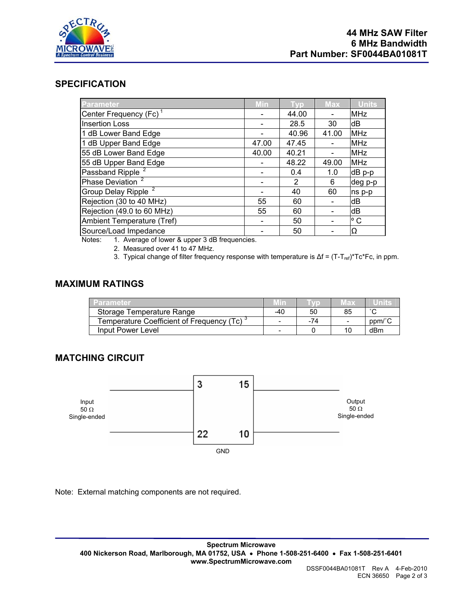

#### **SPECIFICATION**

| <b>Parameter</b>                   | Min   | Typ            | <b>Max</b> | <b>Units</b> |
|------------------------------------|-------|----------------|------------|--------------|
| Center Frequency (Fc) <sup>1</sup> |       | 44.00          |            | <b>MHz</b>   |
| <b>Insertion Loss</b>              |       | 28.5           | 30         | dB           |
| 1 dB Lower Band Edge               |       | 40.96          | 41.00      | <b>MHz</b>   |
| 1 dB Upper Band Edge               | 47.00 | 47.45          |            | <b>MHz</b>   |
| 55 dB Lower Band Edge              | 40.00 | 40.21          |            | <b>MHz</b>   |
| 55 dB Upper Band Edge              |       | 48.22          | 49.00      | <b>MHz</b>   |
| Passband Ripple <sup>2</sup>       |       | 0.4            | 1.0        | dB p-p       |
| Phase Deviation <sup>2</sup>       |       | $\overline{2}$ | 6          | deg p-p      |
| Group Delay Ripple <sup>2</sup>    |       | 40             | 60         | ns p-p       |
| Rejection (30 to 40 MHz)           | 55    | 60             |            | dB           |
| Rejection (49.0 to 60 MHz)         | 55    | 60             |            | dB           |
| Ambient Temperature (Tref)         |       | 50             |            | $\circ$ C    |
| Source/Load Impedance              |       | 50             |            | IΩ           |

Notes: 1. Average of lower & upper 3 dB frequencies.

2. Measured over 41 to 47 MHz.

3. Typical change of filter frequency response with temperature is Δf = (T-T<sub>ref</sub>)\*Tc\*Fc, in ppm.

# **MAXIMUM RATINGS**

| Parameter                                   | Min |     | Max                      | ≔U∏∏ns≈ |
|---------------------------------------------|-----|-----|--------------------------|---------|
| Storage Temperature Range                   | -40 | 50  | 85                       | $\sim$  |
| Temperature Coefficient of Frequency (Tc) ` | -   | -74 | $\overline{\phantom{a}}$ | ppm/°C  |
| Input Power Level                           | -   |     | 10                       | dBm     |

## **MATCHING CIRCUIT**



Note: External matching components are not required.